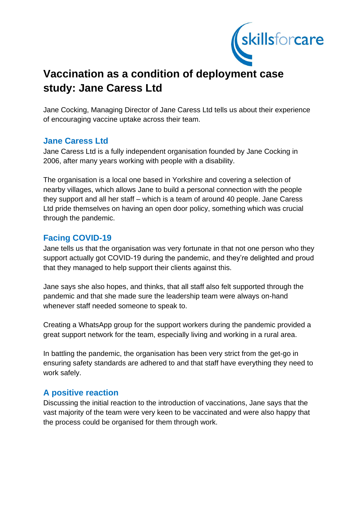

# **Vaccination as a condition of deployment case study: Jane Caress Ltd**

Jane Cocking, Managing Director of Jane Caress Ltd tells us about their experience of encouraging vaccine uptake across their team.

### **Jane Caress Ltd**

Jane Caress Ltd is a fully independent organisation founded by Jane Cocking in 2006, after many years working with people with a disability.

The organisation is a local one based in Yorkshire and covering a selection of nearby villages, which allows Jane to build a personal connection with the people they support and all her staff – which is a team of around 40 people. Jane Caress Ltd pride themselves on having an open door policy, something which was crucial through the pandemic.

## **Facing COVID-19**

Jane tells us that the organisation was very fortunate in that not one person who they support actually got COVID-19 during the pandemic, and they're delighted and proud that they managed to help support their clients against this.

Jane says she also hopes, and thinks, that all staff also felt supported through the pandemic and that she made sure the leadership team were always on-hand whenever staff needed someone to speak to.

Creating a WhatsApp group for the support workers during the pandemic provided a great support network for the team, especially living and working in a rural area.

In battling the pandemic, the organisation has been very strict from the get-go in ensuring safety standards are adhered to and that staff have everything they need to work safely.

## **A positive reaction**

Discussing the initial reaction to the introduction of vaccinations, Jane says that the vast majority of the team were very keen to be vaccinated and were also happy that the process could be organised for them through work.